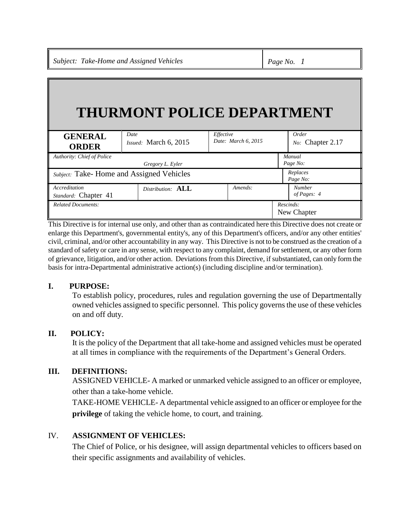# **THURMONT POLICE DEPARTMENT**

| <b>GENERAL</b><br><b>ORDER</b>           | Date<br>Issued: March 6, 2015 | Effective<br>Date: March 6, 2015 | Order<br>No: Chapter 2.17    |
|------------------------------------------|-------------------------------|----------------------------------|------------------------------|
| Authority: Chief of Police               |                               |                                  | Manual                       |
|                                          | Gregory L. Eyler              |                                  | Page No:                     |
| Subject: Take-Home and Assigned Vehicles |                               |                                  | Replaces<br>Page No:         |
| Accreditation<br>Standard: Chapter 41    | Distribution: <b>ALL</b>      | Amends:                          | <b>Number</b><br>of Pages: 4 |
| <b>Related Documents:</b>                |                               |                                  | Rescinds:<br>New Chapter     |

This Directive is for internal use only, and other than as contraindicated here this Directive does not create or enlarge this Department's, governmental entity's, any of this Department's officers, and/or any other entities' civil, criminal, and/or other accountability in any way. This Directive is not to be construed as the creation of a standard of safety or care in any sense, with respect to any complaint, demand for settlement, or any other form of grievance, litigation, and/or other action. Deviations from this Directive, if substantiated, can only form the basis for intra-Departmental administrative action(s) (including discipline and/or termination).

#### **I. PURPOSE:**

To establish policy, procedures, rules and regulation governing the use of Departmentally owned vehicles assigned to specific personnel. This policy governs the use of these vehicles on and off duty.

#### **II. POLICY:**

It is the policy of the Department that all take-home and assigned vehicles must be operated at all times in compliance with the requirements of the Department's General Orders.

## **III. DEFINITIONS:**

ASSIGNED VEHICLE- A marked or unmarked vehicle assigned to an officer or employee, other than a take-home vehicle.

TAKE-HOME VEHICLE- A departmental vehicle assigned to an officer or employee for the **privilege** of taking the vehicle home, to court, and training.

#### IV. **ASSIGNMENT OF VEHICLES:**

The Chief of Police, or his designee, will assign departmental vehicles to officers based on their specific assignments and availability of vehicles.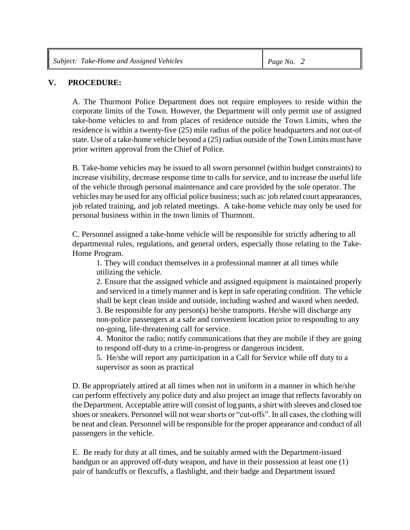### **V. PROCEDURE:**

A. The Thurmont Police Department does not require employees to reside within the corporate limits of the Town. However, the Department will only permit use of assigned take-home vehicles to and from places of residence outside the Town Limits, when the residence is within a twenty-five (25) mile radius of the police headquarters and not out-of state. Use of a take-home vehicle beyond a (25) radius outside of the Town Limits must have prior written approval from the Chief of Police.

B. Take-home vehicles may be issued to all sworn personnel (within budget constraints) to increase visibility, decrease response time to calls for service, and to increase the useful life of the vehicle through personal maintenance and care provided by the sole operator. The vehicles may be used for any official police business; such as: job related court appearances, job related training, and job related meetings. A take-home vehicle may only be used for personal business within in the town limits of Thurmont.

C. Personnel assigned a take-home vehicle will be responsible for strictly adhering to all departmental rules, regulations, and general orders, especially those relating to the Take-Home Program.

1. They will conduct themselves in a professional manner at all times while utilizing the vehicle.

2. Ensure that the assigned vehicle and assigned equipment is maintained properly and serviced in a timely manner and is kept in safe operating condition. The vehicle shall be kept clean inside and outside, including washed and waxed when needed. 3. Be responsible for any person(s) he/she transports. He/she will discharge any

non-police passengers at a safe and convenient location prior to responding to any on-going, life-threatening call for service.

4. Monitor the radio; notify communications that they are mobile if they are going to respond off-duty to a crime-in-progress or dangerous incident.

5. He/she will report any participation in a Call for Service while off duty to a supervisor as soon as practical

D. Be appropriately attired at all times when not in uniform in a manner in which he/she can perform effectively any police duty and also project an image that reflects favorably on the Department. Acceptable attire will consist of log pants, a shirt with sleeves and closed toe shoes or sneakers. Personnel will not wear shorts or "cut-offs". In all cases, the clothing will be neat and clean. Personnel will be responsible for the proper appearance and conduct of all passengers in the vehicle.

E. Be ready for duty at all times, and be suitably armed with the Department-issued handgun or an approved off-duty weapon, and have in their possession at least one (1) pair of handcuffs or flexcuffs, a flashlight, and their badge and Department issued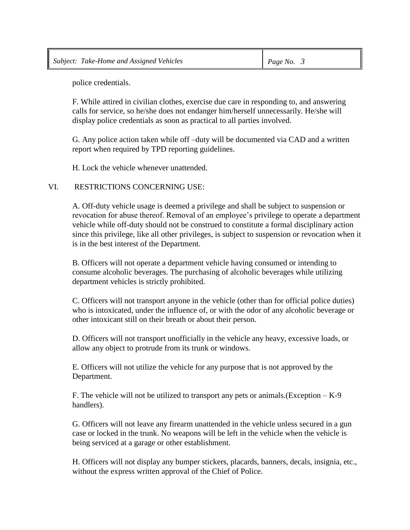police credentials.

F. While attired in civilian clothes, exercise due care in responding to, and answering calls for service, so he/she does not endanger him/herself unnecessarily. He/she will display police credentials as soon as practical to all parties involved.

G. Any police action taken while off –duty will be documented via CAD and a written report when required by TPD reporting guidelines.

H. Lock the vehicle whenever unattended.

#### VI. RESTRICTIONS CONCERNING USE:

A. Off-duty vehicle usage is deemed a privilege and shall be subject to suspension or revocation for abuse thereof. Removal of an employee's privilege to operate a department vehicle while off-duty should not be construed to constitute a formal disciplinary action since this privilege, like all other privileges, is subject to suspension or revocation when it is in the best interest of the Department.

B. Officers will not operate a department vehicle having consumed or intending to consume alcoholic beverages. The purchasing of alcoholic beverages while utilizing department vehicles is strictly prohibited.

C. Officers will not transport anyone in the vehicle (other than for official police duties) who is intoxicated, under the influence of, or with the odor of any alcoholic beverage or other intoxicant still on their breath or about their person.

D. Officers will not transport unofficially in the vehicle any heavy, excessive loads, or allow any object to protrude from its trunk or windows.

E. Officers will not utilize the vehicle for any purpose that is not approved by the Department.

F. The vehicle will not be utilized to transport any pets or animals.(Exception – K-9 handlers).

G. Officers will not leave any firearm unattended in the vehicle unless secured in a gun case or locked in the trunk. No weapons will be left in the vehicle when the vehicle is being serviced at a garage or other establishment.

H. Officers will not display any bumper stickers, placards, banners, decals, insignia, etc., without the express written approval of the Chief of Police.